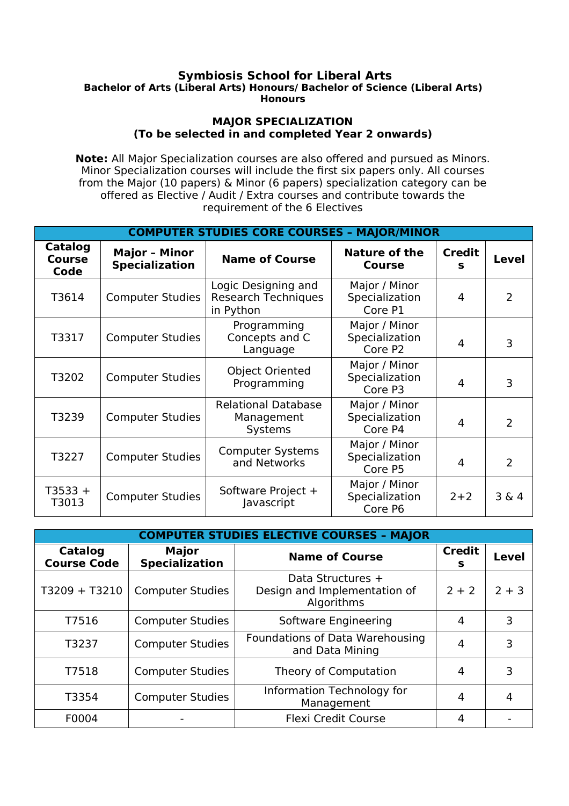## **Symbiosis School for Liberal Arts Bachelor of Arts (Liberal Arts) Honours/ Bachelor of Science (Liberal Arts) Honours**

## **MAJOR SPECIALIZATION (To be selected in and completed Year 2 onwards)**

**Note:** All Major Specialization courses are also offered and pursued as Minors. Minor Specialization courses will include the first six papers only. All courses from the Major (10 papers) & Minor (6 papers) specialization category can be offered as Elective / Audit / Extra courses and contribute towards the requirement of the 6 Electives

| <b>COMPUTER STUDIES CORE COURSES - MAJOR/MINOR</b> |                                               |                                                                |                                            |                    |              |  |
|----------------------------------------------------|-----------------------------------------------|----------------------------------------------------------------|--------------------------------------------|--------------------|--------------|--|
| Catalog<br><b>Course</b><br>Code                   | <b>Major - Minor</b><br><b>Specialization</b> | <b>Name of Course</b>                                          | <b>Nature of the</b><br><b>Course</b>      | <b>Credit</b><br>s | <b>Level</b> |  |
| T3614                                              | <b>Computer Studies</b>                       | Logic Designing and<br><b>Research Techniques</b><br>in Python | Major / Minor<br>Specialization<br>Core P1 | 4                  | 2            |  |
| T3317                                              | <b>Computer Studies</b>                       | Programming<br>Concepts and C<br>Language                      | Major / Minor<br>Specialization<br>Core P2 | 4                  | 3            |  |
| T3202                                              | <b>Computer Studies</b>                       | <b>Object Oriented</b><br>Programming                          | Major / Minor<br>Specialization<br>Core P3 | 4                  | 3            |  |
| T3239                                              | <b>Computer Studies</b>                       | <b>Relational Database</b><br>Management<br>Systems            | Major / Minor<br>Specialization<br>Core P4 | 4                  | 2            |  |
| T3227                                              | <b>Computer Studies</b>                       | <b>Computer Systems</b><br>and Networks                        | Major / Minor<br>Specialization<br>Core P5 | 4                  | 2            |  |
| $T3533 +$<br>T3013                                 | <b>Computer Studies</b>                       | Software Project +<br>Javascript                               | Major / Minor<br>Specialization<br>Core P6 | $2 + 2$            | 3 & 4        |  |

| <b>COMPUTER STUDIES ELECTIVE COURSES - MAJOR</b> |                                       |                                                                 |                    |              |  |  |
|--------------------------------------------------|---------------------------------------|-----------------------------------------------------------------|--------------------|--------------|--|--|
| Catalog<br><b>Course Code</b>                    | <b>Major</b><br><b>Specialization</b> | <b>Name of Course</b>                                           | <b>Credit</b><br>s | <b>Level</b> |  |  |
| T3209 + T3210                                    | <b>Computer Studies</b>               | Data Structures +<br>Design and Implementation of<br>Algorithms | $2 + 2$            | $2 + 3$      |  |  |
| T7516                                            | <b>Computer Studies</b>               | Software Engineering                                            | 4                  | 3            |  |  |
| T3237                                            | <b>Computer Studies</b>               | Foundations of Data Warehousing<br>and Data Mining              | 4                  | 3            |  |  |
| T7518                                            | <b>Computer Studies</b>               | Theory of Computation                                           | 4                  | 3            |  |  |
| T3354                                            | <b>Computer Studies</b>               | Information Technology for<br>Management                        | 4                  |              |  |  |
| F0004                                            |                                       | <b>Flexi Credit Course</b>                                      | 4                  |              |  |  |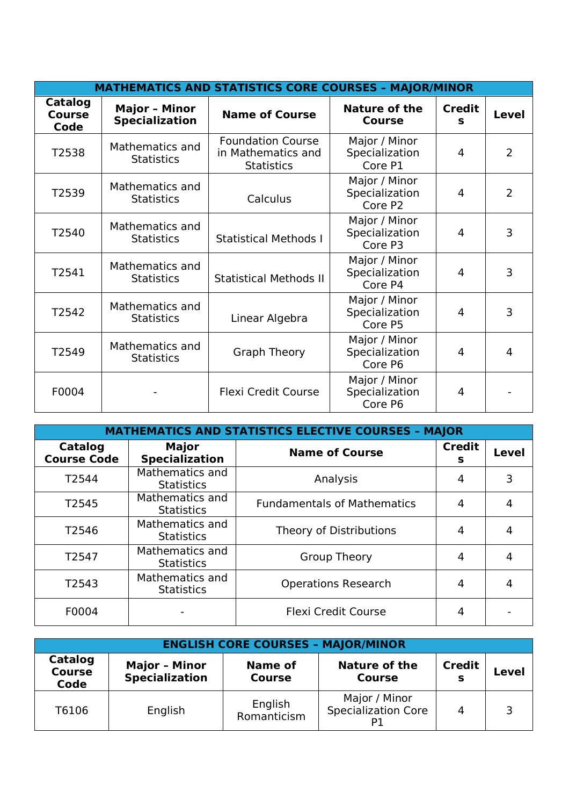| <b>MATHEMATICS AND STATISTICS CORE COURSES - MAJOR/MINOR</b> |                                               |                                                                     |                                                        |                    |                |  |
|--------------------------------------------------------------|-----------------------------------------------|---------------------------------------------------------------------|--------------------------------------------------------|--------------------|----------------|--|
| <b>Catalog</b><br><b>Course</b><br>Code                      | <b>Major - Minor</b><br><b>Specialization</b> | <b>Name of Course</b>                                               | <b>Nature of the</b><br><b>Course</b>                  | <b>Credit</b><br>s | Level          |  |
| T2538                                                        | Mathematics and<br><b>Statistics</b>          | <b>Foundation Course</b><br>in Mathematics and<br><b>Statistics</b> | Major / Minor<br>Specialization<br>Core P1             | 4                  | $\overline{2}$ |  |
| T2539                                                        | Mathematics and<br><b>Statistics</b>          | Calculus                                                            | Major / Minor<br>Specialization<br>Core P <sub>2</sub> | 4                  | $\overline{2}$ |  |
| T2540                                                        | Mathematics and<br><b>Statistics</b>          | <b>Statistical Methods I</b>                                        | Major / Minor<br>Specialization<br>Core P3             | 4                  | 3              |  |
| T2541                                                        | Mathematics and<br><b>Statistics</b>          | <b>Statistical Methods II</b>                                       | Major / Minor<br>Specialization<br>Core P4             | 4                  | 3              |  |
| T2542                                                        | Mathematics and<br><b>Statistics</b>          | Linear Algebra                                                      | Major / Minor<br>Specialization<br>Core P5             | 4                  | 3              |  |
| T2549                                                        | Mathematics and<br><b>Statistics</b>          | <b>Graph Theory</b>                                                 | Major / Minor<br>Specialization<br>Core P6             | 4                  | 4              |  |
| F0004                                                        |                                               | <b>Flexi Credit Course</b>                                          | Major / Minor<br>Specialization<br>Core P6             | 4                  |                |  |

| <b>MATHEMATICS AND STATISTICS ELECTIVE COURSES - MAJOR</b> |                                       |                                    |                    |              |  |
|------------------------------------------------------------|---------------------------------------|------------------------------------|--------------------|--------------|--|
| Catalog<br><b>Course Code</b>                              | <b>Major</b><br><b>Specialization</b> | <b>Name of Course</b>              | <b>Credit</b><br>s | <b>Level</b> |  |
| T2544                                                      | Mathematics and<br><b>Statistics</b>  | Analysis                           | 4                  | 3            |  |
| T2545                                                      | Mathematics and<br><b>Statistics</b>  | <b>Fundamentals of Mathematics</b> | 4                  | 4            |  |
| T2546                                                      | Mathematics and<br><b>Statistics</b>  | Theory of Distributions            | 4                  | 4            |  |
| T2547                                                      | Mathematics and<br><b>Statistics</b>  | <b>Group Theory</b>                | 4                  | 4            |  |
| T2543                                                      | Mathematics and<br><b>Statistics</b>  | <b>Operations Research</b>         | 4                  | 4            |  |
| F0004                                                      |                                       | <b>Flexi Credit Course</b>         | 4                  |              |  |

| <b>ENGLISH CORE COURSES - MAJOR/MINOR</b> |                                               |                                 |                                             |                    |       |  |
|-------------------------------------------|-----------------------------------------------|---------------------------------|---------------------------------------------|--------------------|-------|--|
| Catalog<br><b>Course</b><br>Code          | <b>Major - Minor</b><br><b>Specialization</b> | <b>Name of</b><br><b>Course</b> | Nature of the<br><b>Course</b>              | <b>Credit</b><br>s | Level |  |
| T6106                                     | English                                       | English<br>Romanticism          | Major / Minor<br><b>Specialization Core</b> | $\overline{4}$     |       |  |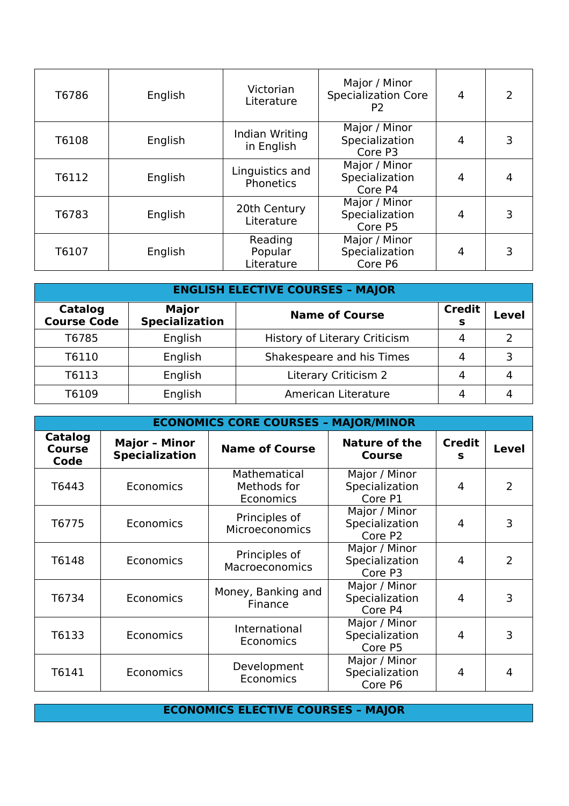| T6786 | English | Victorian<br>Literature          | Major / Minor<br><b>Specialization Core</b><br>P <sub>2</sub> | $\overline{4}$ | $\overline{2}$ |
|-------|---------|----------------------------------|---------------------------------------------------------------|----------------|----------------|
| T6108 | English | Indian Writing<br>in English     | Major / Minor<br>Specialization<br>Core P3                    | 4              | 3              |
| T6112 | English | Linguistics and<br>Phonetics     | Major / Minor<br>Specialization<br>Core P4                    | 4              |                |
| T6783 | English | 20th Century<br>Literature       | Major / Minor<br>Specialization<br>Core P5                    | 4              | 3              |
| T6107 | English | Reading<br>Popular<br>Literature | Major / Minor<br>Specialization<br>Core P6                    | 4              | 3              |

| <b>ENGLISH ELECTIVE COURSES - MAJOR</b> |                                |                               |                           |       |  |
|-----------------------------------------|--------------------------------|-------------------------------|---------------------------|-------|--|
| Catalog<br><b>Course Code</b>           | <b>Major</b><br>Specialization | <b>Name of Course</b>         | <b>Credit</b><br><b>S</b> | Level |  |
| T6785                                   | English                        | History of Literary Criticism |                           | ົ     |  |
| T6110                                   | English                        | Shakespeare and his Times     |                           | ⊇     |  |
| T6113                                   | English                        | Literary Criticism 2          | 4                         |       |  |
| T6109                                   | English                        | American Literature           |                           |       |  |

| <b>ECONOMICS CORE COURSES - MAJOR/MINOR</b> |                                               |                                          |                                            |                    |                |  |
|---------------------------------------------|-----------------------------------------------|------------------------------------------|--------------------------------------------|--------------------|----------------|--|
| <b>Catalog</b><br><b>Course</b><br>Code     | <b>Major - Minor</b><br><b>Specialization</b> | <b>Name of Course</b>                    | <b>Nature of the</b><br><b>Course</b>      | <b>Credit</b><br>s | <b>Level</b>   |  |
| T6443                                       | Economics                                     | Mathematical<br>Methods for<br>Economics | Major / Minor<br>Specialization<br>Core P1 | 4                  | $\overline{2}$ |  |
| T6775                                       | Economics                                     | Principles of<br><b>Microeconomics</b>   | Major / Minor<br>Specialization<br>Core P2 | 4                  | 3              |  |
| T6148                                       | Economics                                     | Principles of<br>Macroeconomics          | Major / Minor<br>Specialization<br>Core P3 | 4                  | $\overline{2}$ |  |
| T6734                                       | Economics                                     | Money, Banking and<br>Finance            | Major / Minor<br>Specialization<br>Core P4 | 4                  | 3              |  |
| T6133                                       | Economics                                     | International<br>Economics               | Major / Minor<br>Specialization<br>Core P5 | 4                  | 3              |  |
| T6141                                       | Economics                                     | Development<br>Economics                 | Major / Minor<br>Specialization<br>Core P6 | 4                  | 4              |  |

**ECONOMICS ELECTIVE COURSES – MAJOR**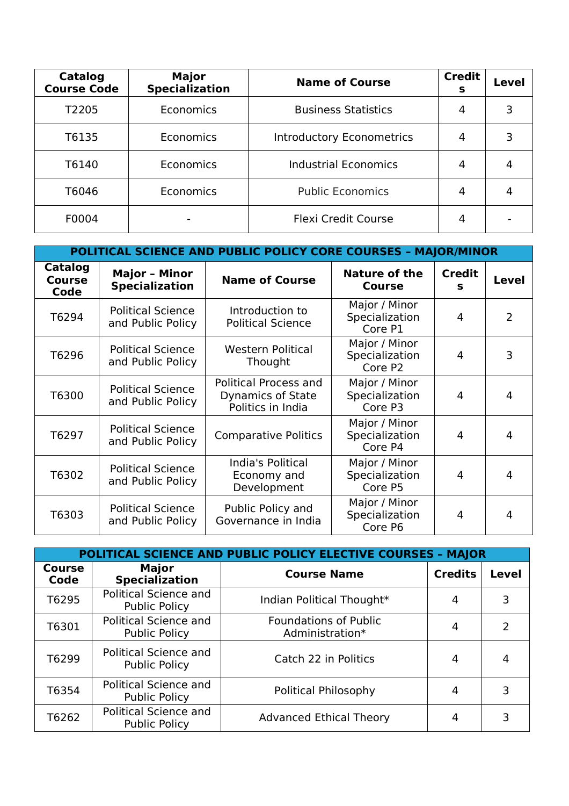| Catalog<br><b>Course Code</b> | <b>Major</b><br><b>Specialization</b> | <b>Name of Course</b>            | <b>Credit</b><br>s | <b>Level</b> |
|-------------------------------|---------------------------------------|----------------------------------|--------------------|--------------|
| T <sub>2205</sub>             | Economics                             | <b>Business Statistics</b>       | 4                  |              |
| T6135                         | Economics                             | <b>Introductory Econometrics</b> | 4                  |              |
| T6140                         | Economics                             | <b>Industrial Economics</b>      | 4                  |              |
| T6046                         | Economics                             | <b>Public Economics</b>          | 4                  |              |
| F0004                         |                                       | <b>Flexi Credit Course</b>       |                    |              |

| POLITICAL SCIENCE AND PUBLIC POLICY CORE COURSES - MAJOR/MINOR |                                               |                                                                 |                                            |                    |              |  |
|----------------------------------------------------------------|-----------------------------------------------|-----------------------------------------------------------------|--------------------------------------------|--------------------|--------------|--|
| Catalog<br><b>Course</b><br>Code                               | <b>Major - Minor</b><br><b>Specialization</b> | <b>Name of Course</b>                                           | <b>Nature of the</b><br><b>Course</b>      | <b>Credit</b><br>s | <b>Level</b> |  |
| T6294                                                          | <b>Political Science</b><br>and Public Policy | Introduction to<br><b>Political Science</b>                     | Major / Minor<br>Specialization<br>Core P1 | 4                  | 2            |  |
| T6296                                                          | <b>Political Science</b><br>and Public Policy | <b>Western Political</b><br>Thought                             | Major / Minor<br>Specialization<br>Core P2 | 4                  | 3            |  |
| T6300                                                          | <b>Political Science</b><br>and Public Policy | Political Process and<br>Dynamics of State<br>Politics in India | Major / Minor<br>Specialization<br>Core P3 | 4                  | 4            |  |
| T6297                                                          | <b>Political Science</b><br>and Public Policy | <b>Comparative Politics</b>                                     | Major / Minor<br>Specialization<br>Core P4 | 4                  | 4            |  |
| T6302                                                          | <b>Political Science</b><br>and Public Policy | India's Political<br>Economy and<br>Development                 | Major / Minor<br>Specialization<br>Core P5 | 4                  | 4            |  |
| T6303                                                          | <b>Political Science</b><br>and Public Policy | Public Policy and<br>Governance in India                        | Major / Minor<br>Specialization<br>Core P6 | 4                  | 4            |  |

|                | POLITICAL SCIENCE AND PUBLIC POLICY ELECTIVE COURSES - MAJOR |                                                 |                |              |  |  |  |
|----------------|--------------------------------------------------------------|-------------------------------------------------|----------------|--------------|--|--|--|
| Course<br>Code | <b>Major</b><br><b>Specialization</b>                        | <b>Course Name</b>                              | <b>Credits</b> | <b>Level</b> |  |  |  |
| T6295          | <b>Political Science and</b><br><b>Public Policy</b>         | Indian Political Thought*                       |                |              |  |  |  |
| T6301          | <b>Political Science and</b><br><b>Public Policy</b>         | <b>Foundations of Public</b><br>Administration* |                | 2            |  |  |  |
| T6299          | Political Science and<br><b>Public Policy</b>                | Catch 22 in Politics                            | 4              |              |  |  |  |
| T6354          | <b>Political Science and</b><br><b>Public Policy</b>         | Political Philosophy                            |                |              |  |  |  |
| T6262          | Political Science and<br><b>Public Policy</b>                | <b>Advanced Ethical Theory</b>                  |                |              |  |  |  |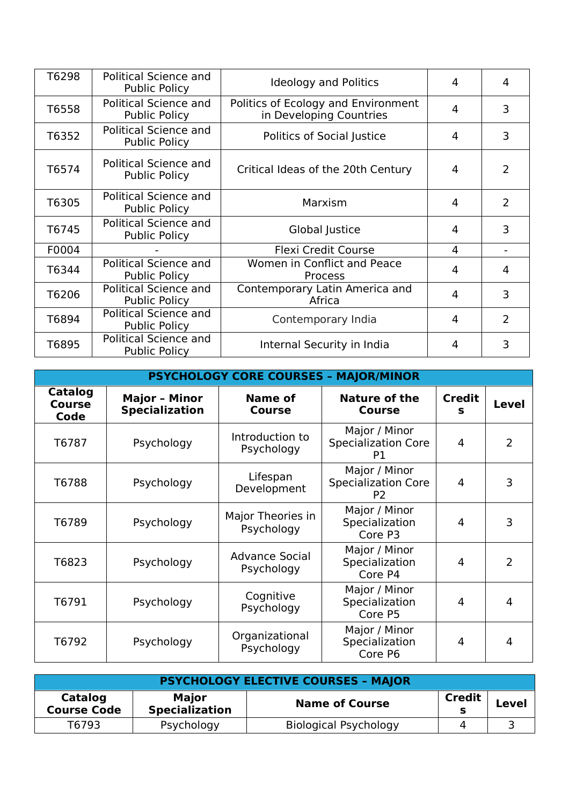| T6298 | Political Science and<br><b>Public Policy</b>        | <b>Ideology and Politics</b>                                   | 4              | 4              |
|-------|------------------------------------------------------|----------------------------------------------------------------|----------------|----------------|
| T6558 | <b>Political Science and</b><br><b>Public Policy</b> | Politics of Ecology and Environment<br>in Developing Countries | $\overline{4}$ | 3              |
| T6352 | Political Science and<br><b>Public Policy</b>        | Politics of Social Justice                                     | 4              | 3              |
| T6574 | Political Science and<br><b>Public Policy</b>        | Critical Ideas of the 20th Century                             | 4              | 2              |
| T6305 | Political Science and<br><b>Public Policy</b>        | Marxism                                                        | 4              | $\overline{2}$ |
| T6745 | Political Science and<br><b>Public Policy</b>        | Global Justice                                                 | 4              | 3              |
| F0004 |                                                      | <b>Flexi Credit Course</b>                                     | $\overline{4}$ |                |
| T6344 | Political Science and<br><b>Public Policy</b>        | Women in Conflict and Peace<br>Process                         | 4              | 4              |
| T6206 | Political Science and<br><b>Public Policy</b>        | Contemporary Latin America and<br>Africa                       | 4              | 3              |
| T6894 | Political Science and<br><b>Public Policy</b>        | Contemporary India                                             | 4              | 2              |
| T6895 | Political Science and<br><b>Public Policy</b>        | Internal Security in India                                     | 4              | 3              |

| <b>PSYCHOLOGY CORE COURSES - MAJOR/MINOR</b> |                                               |                                     |                                                               |                    |                |  |  |
|----------------------------------------------|-----------------------------------------------|-------------------------------------|---------------------------------------------------------------|--------------------|----------------|--|--|
| Catalog<br><b>Course</b><br>Code             | <b>Major - Minor</b><br><b>Specialization</b> | <b>Name of</b><br>Course            | <b>Nature of the</b><br><b>Course</b>                         | <b>Credit</b><br>s | <b>Level</b>   |  |  |
| T6787                                        | Psychology                                    | Introduction to<br>Psychology       | Major / Minor<br><b>Specialization Core</b><br>P1             | $\overline{4}$     | $\overline{2}$ |  |  |
| T6788                                        | Psychology                                    | Lifespan<br>Development             | Major / Minor<br><b>Specialization Core</b><br>P <sub>2</sub> | 4                  | 3              |  |  |
| T6789                                        | Psychology                                    | Major Theories in<br>Psychology     | Major / Minor<br>Specialization<br>Core P3                    | 4                  | 3              |  |  |
| T6823                                        | Psychology                                    | <b>Advance Social</b><br>Psychology | Major / Minor<br>Specialization<br>Core P4                    | 4                  | 2              |  |  |
| T6791                                        | Psychology                                    | Cognitive<br>Psychology             | Major / Minor<br>Specialization<br>Core P5                    | 4                  | 4              |  |  |
| T6792                                        | Psychology                                    | Organizational<br>Psychology        | Major / Minor<br>Specialization<br>Core P6                    | 4                  | 4              |  |  |

| <b>PSYCHOLOGY ELECTIVE COURSES - MAJOR</b> |                                       |                              |               |       |  |  |
|--------------------------------------------|---------------------------------------|------------------------------|---------------|-------|--|--|
| Catalog<br><b>Course Code</b>              | <b>Major</b><br><b>Specialization</b> | <b>Name of Course</b>        | <b>Credit</b> | Level |  |  |
| T6793                                      | Psychology                            | <b>Biological Psychology</b> |               |       |  |  |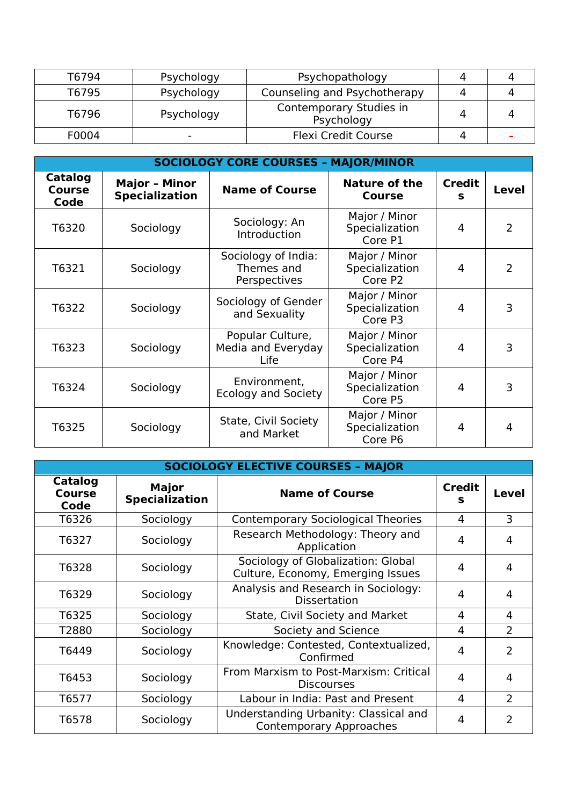| T6794 | Psychology               | Psychopathology                       |  |
|-------|--------------------------|---------------------------------------|--|
| T6795 | Psychology               | Counseling and Psychotherapy          |  |
| T6796 | Psychology               | Contemporary Studies in<br>Psychology |  |
| F0004 | $\overline{\phantom{0}}$ | <b>Flexi Credit Course</b>            |  |

| <b>SOCIOLOGY CORE COURSES - MAJOR/MINOR</b> |                                               |                                                   |                                            |                    |                |  |  |
|---------------------------------------------|-----------------------------------------------|---------------------------------------------------|--------------------------------------------|--------------------|----------------|--|--|
| Catalog<br><b>Course</b><br>Code            | <b>Major - Minor</b><br><b>Specialization</b> | <b>Name of Course</b>                             | <b>Nature of the</b><br><b>Course</b>      | <b>Credit</b><br>S | Level          |  |  |
| T6320                                       | Sociology                                     | Sociology: An<br>Introduction                     | Major / Minor<br>Specialization<br>Core P1 | 4                  | 2              |  |  |
| T6321                                       | Sociology                                     | Sociology of India:<br>Themes and<br>Perspectives | Major / Minor<br>Specialization<br>Core P2 | 4                  | $\overline{2}$ |  |  |
| T6322                                       | Sociology                                     | Sociology of Gender<br>and Sexuality              | Major / Minor<br>Specialization<br>Core P3 | 4                  | 3              |  |  |
| T6323                                       | Sociology                                     | Popular Culture,<br>Media and Everyday<br>Life    | Major / Minor<br>Specialization<br>Core P4 | 4                  | 3              |  |  |
| T6324                                       | Sociology                                     | Environment,<br><b>Ecology and Society</b>        | Major / Minor<br>Specialization<br>Core P5 | 4                  | 3              |  |  |
| T6325                                       | Sociology                                     | State, Civil Society<br>and Market                | Major / Minor<br>Specialization<br>Core P6 | 4                  | 4              |  |  |

| <b>SOCIOLOGY ELECTIVE COURSES - MAJOR</b> |                                       |                                                                         |                    |                |  |  |
|-------------------------------------------|---------------------------------------|-------------------------------------------------------------------------|--------------------|----------------|--|--|
| Catalog<br><b>Course</b><br>Code          | <b>Major</b><br><b>Specialization</b> | <b>Name of Course</b>                                                   | <b>Credit</b><br>s | Level          |  |  |
| T6326                                     | Sociology                             | <b>Contemporary Sociological Theories</b>                               | 4                  | 3              |  |  |
| T6327                                     | Sociology                             | Research Methodology: Theory and<br>Application                         | 4                  | 4              |  |  |
| T6328                                     | Sociology                             | Sociology of Globalization: Global<br>Culture, Economy, Emerging Issues | 4                  | 4              |  |  |
| T6329                                     | Sociology                             | Analysis and Research in Sociology:<br><b>Dissertation</b>              | 4                  | 4              |  |  |
| T6325                                     | Sociology                             | State, Civil Society and Market                                         | 4                  | 4              |  |  |
| T2880                                     | Sociology                             | Society and Science                                                     | 4                  | $\overline{2}$ |  |  |
| T6449                                     | Sociology                             | Knowledge: Contested, Contextualized,<br>Confirmed                      | 4                  | 2              |  |  |
| T6453                                     | Sociology                             | From Marxism to Post-Marxism: Critical<br><b>Discourses</b>             | 4                  | 4              |  |  |
| T6577                                     | Sociology                             | Labour in India: Past and Present                                       | 4                  | 2              |  |  |
| T6578                                     | Sociology                             | Understanding Urbanity: Classical and<br><b>Contemporary Approaches</b> | 4                  | $\mathcal{P}$  |  |  |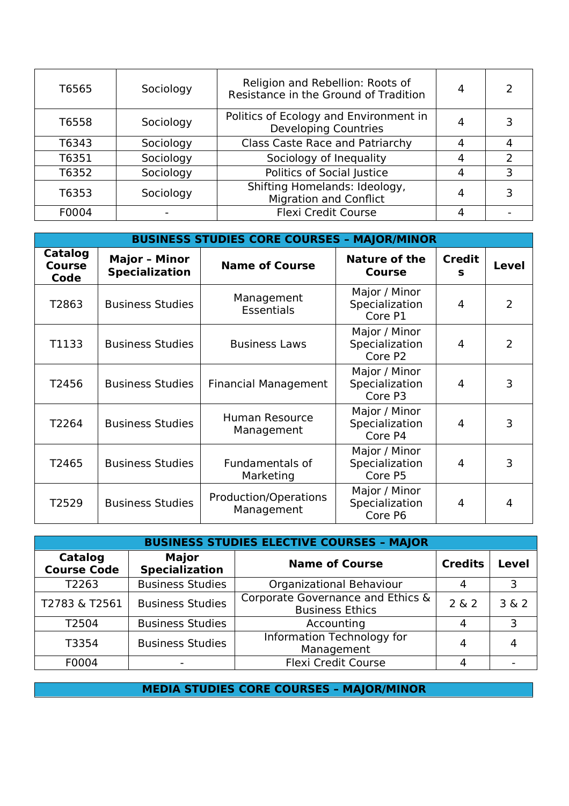| T6565 | Sociology | Religion and Rebellion: Roots of<br>Resistance in the Ground of Tradition | 4 |   |
|-------|-----------|---------------------------------------------------------------------------|---|---|
| T6558 | Sociology | Politics of Ecology and Environment in<br><b>Developing Countries</b>     |   |   |
| T6343 | Sociology | <b>Class Caste Race and Patriarchy</b>                                    | Δ |   |
| T6351 | Sociology | Sociology of Inequality                                                   |   |   |
| T6352 | Sociology | Politics of Social Justice                                                | 4 | 3 |
| T6353 | Sociology | Shifting Homelands: Ideology,<br><b>Migration and Conflict</b>            |   |   |
| F0004 |           | <b>Flexi Credit Course</b>                                                |   |   |

| <b>BUSINESS STUDIES CORE COURSES - MAJOR/MINOR</b> |                                               |                                            |                                            |                    |                |  |
|----------------------------------------------------|-----------------------------------------------|--------------------------------------------|--------------------------------------------|--------------------|----------------|--|
| Catalog<br><b>Course</b><br>Code                   | <b>Major - Minor</b><br><b>Specialization</b> | <b>Name of Course</b>                      | <b>Nature of the</b><br><b>Course</b>      | <b>Credit</b><br>S | <b>Level</b>   |  |
| T2863                                              | <b>Business Studies</b>                       | Management<br><b>Essentials</b>            | Major / Minor<br>Specialization<br>Core P1 | 4                  | $\overline{2}$ |  |
| T1133                                              | <b>Business Studies</b>                       | <b>Business Laws</b>                       | Major / Minor<br>Specialization<br>Core P2 | 4                  | $\overline{2}$ |  |
| T2456                                              | <b>Business Studies</b>                       | Financial Management                       | Major / Minor<br>Specialization<br>Core P3 | 4                  | 3              |  |
| T2264                                              | <b>Business Studies</b>                       | <b>Human Resource</b><br>Management        | Major / Minor<br>Specialization<br>Core P4 | 4                  | 3              |  |
| T2465                                              | <b>Business Studies</b>                       | Fundamentals of<br>Marketing               | Major / Minor<br>Specialization<br>Core P5 | 4                  | 3              |  |
| T2529                                              | <b>Business Studies</b>                       | <b>Production/Operations</b><br>Management | Major / Minor<br>Specialization<br>Core P6 | 4                  | 4              |  |

| <b>BUSINESS STUDIES ELECTIVE COURSES - MAJOR</b> |                                       |                                                             |       |              |  |  |
|--------------------------------------------------|---------------------------------------|-------------------------------------------------------------|-------|--------------|--|--|
| Catalog<br><b>Course Code</b>                    | <b>Major</b><br><b>Specialization</b> | <b>Credits</b><br><b>Name of Course</b>                     |       | <b>Level</b> |  |  |
| T2263                                            | <b>Business Studies</b>               | Organizational Behaviour                                    | 4     | 3            |  |  |
| T2783 & T2561                                    | <b>Business Studies</b>               | Corporate Governance and Ethics &<br><b>Business Ethics</b> | 2 & 2 | 3 & 2        |  |  |
| T2504                                            | <b>Business Studies</b>               | Accounting                                                  | 4     | 3            |  |  |
| T3354                                            | <b>Business Studies</b>               | <b>Information Technology for</b><br>Management             | 4     |              |  |  |
| F0004                                            |                                       | Flexi Credit Course                                         | 4     |              |  |  |

**MEDIA STUDIES CORE COURSES – MAJOR/MINOR**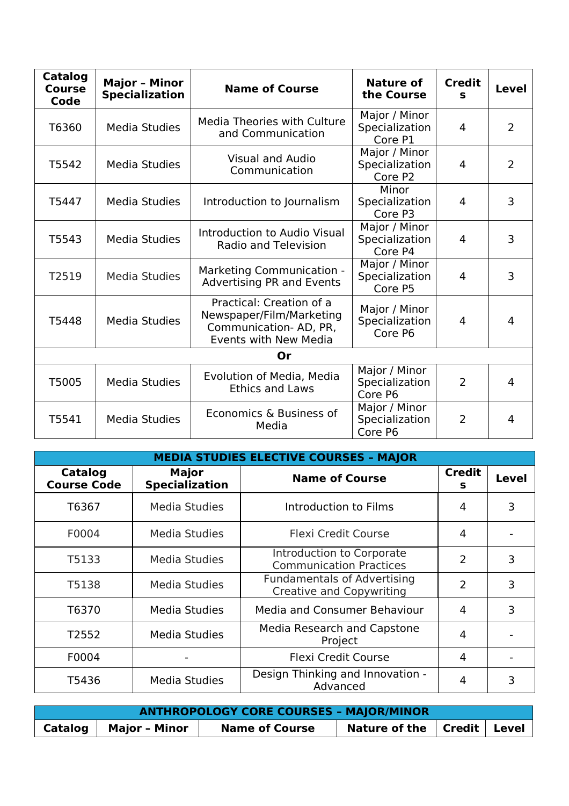| <b>Catalog</b><br><b>Course</b><br>Code | <b>Major - Minor</b><br><b>Specialization</b> | <b>Name of Course</b>                                                                                  | Nature of<br>the Course                                | <b>Credit</b><br>S | Level          |
|-----------------------------------------|-----------------------------------------------|--------------------------------------------------------------------------------------------------------|--------------------------------------------------------|--------------------|----------------|
| T6360                                   | Media Studies                                 | Media Theories with Culture<br>and Communication                                                       | Major / Minor<br>Specialization<br>Core P1             | 4                  | $\overline{2}$ |
| T5542                                   | <b>Media Studies</b>                          | <b>Visual and Audio</b><br>Communication                                                               | Major / Minor<br>Specialization<br>Core P <sub>2</sub> | 4                  | $\overline{2}$ |
| T5447                                   | <b>Media Studies</b>                          | Introduction to Journalism                                                                             | Minor<br>Specialization<br>Core P3                     | 4                  | 3              |
| T5543                                   | <b>Media Studies</b>                          | Introduction to Audio Visual<br><b>Radio and Television</b>                                            | Major / Minor<br>Specialization<br>Core P4             | 4                  | 3              |
| T2519                                   | <b>Media Studies</b>                          | <b>Marketing Communication -</b><br>Advertising PR and Events                                          | Major / Minor<br>Specialization<br>Core P5             | 4                  | 3              |
| T5448                                   | <b>Media Studies</b>                          | Practical: Creation of a<br>Newspaper/Film/Marketing<br>Communication-AD, PR,<br>Events with New Media | Major / Minor<br>Specialization<br>Core P6             | 4                  | $\overline{4}$ |
|                                         |                                               | 0r                                                                                                     |                                                        |                    |                |
| T5005                                   | Media Studies                                 | Evolution of Media, Media<br><b>Ethics and Laws</b>                                                    | Major / Minor<br>Specialization<br>Core P6             | $\overline{2}$     | 4              |
| T5541                                   | Media Studies                                 | Economics & Business of<br>Media                                                                       | Major / Minor<br>Specialization<br>Core P6             | $\overline{2}$     | $\overline{4}$ |

| <b>MEDIA STUDIES ELECTIVE COURSES - MAJOR</b> |                                       |                                                                       |                    |              |  |  |
|-----------------------------------------------|---------------------------------------|-----------------------------------------------------------------------|--------------------|--------------|--|--|
| <b>Catalog</b><br><b>Course Code</b>          | <b>Major</b><br><b>Specialization</b> | <b>Name of Course</b>                                                 | <b>Credit</b><br>s | <b>Level</b> |  |  |
| T6367                                         | <b>Media Studies</b>                  | Introduction to Films                                                 | 4                  | 3            |  |  |
| F0004                                         | Media Studies                         | <b>Flexi Credit Course</b>                                            | 4                  |              |  |  |
| T5133                                         | Media Studies                         | Introduction to Corporate<br><b>Communication Practices</b>           | $\overline{2}$     | 3            |  |  |
| T5138                                         | Media Studies                         | <b>Fundamentals of Advertising</b><br><b>Creative and Copywriting</b> | $\overline{2}$     | 3            |  |  |
| T6370                                         | <b>Media Studies</b>                  | <b>Media and Consumer Behaviour</b>                                   | 4                  | 3            |  |  |
| T2552                                         | Media Studies                         | Media Research and Capstone<br>Project                                | 4                  |              |  |  |
| F0004                                         |                                       | <b>Flexi Credit Course</b>                                            | 4                  |              |  |  |
| T5436                                         | <b>Media Studies</b>                  | Design Thinking and Innovation -<br>Advanced                          | 4                  | 3            |  |  |

| <b>ANTHROPOLOGY CORE COURSES - MAJOR/MINOR</b> |                         |                       |                                                    |  |  |  |
|------------------------------------------------|-------------------------|-----------------------|----------------------------------------------------|--|--|--|
|                                                | Catalog   Major - Minor | <b>Name of Course</b> | Nature of the $\vert$ Credit $\vert$ Level $\vert$ |  |  |  |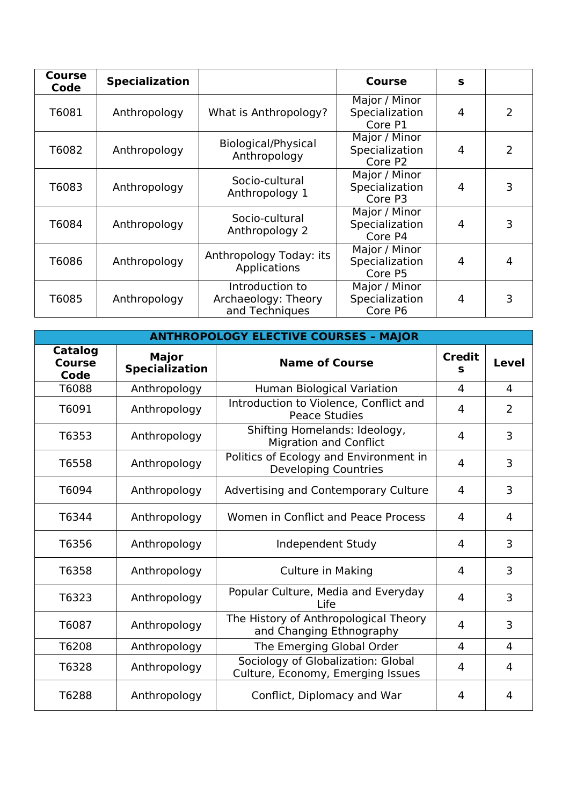| <b>Course</b><br>Code | <b>Specialization</b> |                                                          | Course                                     | S |   |
|-----------------------|-----------------------|----------------------------------------------------------|--------------------------------------------|---|---|
| T6081                 | Anthropology          | What is Anthropology?                                    | Major / Minor<br>Specialization<br>Core P1 | 4 | 2 |
| T6082                 | Anthropology          | Biological/Physical<br>Anthropology                      | Major / Minor<br>Specialization<br>Core P2 | 4 | 2 |
| T6083                 | Anthropology          | Socio-cultural<br>Anthropology 1                         | Major / Minor<br>Specialization<br>Core P3 | 4 | 3 |
| T6084                 | Anthropology          | Socio-cultural<br>Anthropology 2                         | Major / Minor<br>Specialization<br>Core P4 | 4 | ٦ |
| T6086                 | Anthropology          | Anthropology Today: its<br>Applications                  | Major / Minor<br>Specialization<br>Core P5 | 4 | 4 |
| T6085                 | Anthropology          | Introduction to<br>Archaeology: Theory<br>and Techniques | Major / Minor<br>Specialization<br>Core P6 | 4 |   |

| <b>ANTHROPOLOGY ELECTIVE COURSES - MAJOR</b> |                                       |                                                                         |                    |                |  |  |
|----------------------------------------------|---------------------------------------|-------------------------------------------------------------------------|--------------------|----------------|--|--|
| <b>Catalog</b><br><b>Course</b><br>Code      | <b>Major</b><br><b>Specialization</b> | <b>Name of Course</b>                                                   | <b>Credit</b><br>s | <b>Level</b>   |  |  |
| T6088                                        | Anthropology                          | <b>Human Biological Variation</b>                                       | 4                  | 4              |  |  |
| T6091                                        | Anthropology                          | Introduction to Violence, Conflict and<br><b>Peace Studies</b>          | 4                  | $\overline{2}$ |  |  |
| T6353                                        | Anthropology                          | Shifting Homelands: Ideology,<br><b>Migration and Conflict</b>          | 4                  | 3              |  |  |
| T6558                                        | Anthropology                          | Politics of Ecology and Environment in<br><b>Developing Countries</b>   | 4                  | 3              |  |  |
| T6094                                        | Anthropology                          | Advertising and Contemporary Culture                                    | 4                  | 3              |  |  |
| T6344                                        | Anthropology                          | Women in Conflict and Peace Process                                     | 4                  | $\overline{4}$ |  |  |
| T6356                                        | Anthropology                          | Independent Study                                                       | 4                  | 3              |  |  |
| T6358                                        | Anthropology                          | <b>Culture in Making</b>                                                | 4                  | 3              |  |  |
| T6323                                        | Anthropology                          | Popular Culture, Media and Everyday<br>Life                             | 4                  | 3              |  |  |
| T6087                                        | Anthropology                          | The History of Anthropological Theory<br>and Changing Ethnography       | 4                  | 3              |  |  |
| T6208                                        | Anthropology                          | The Emerging Global Order                                               | 4                  | 4              |  |  |
| T6328                                        | Anthropology                          | Sociology of Globalization: Global<br>Culture, Economy, Emerging Issues | 4                  | 4              |  |  |
| T6288                                        | Anthropology                          | Conflict, Diplomacy and War                                             | 4                  | $\overline{4}$ |  |  |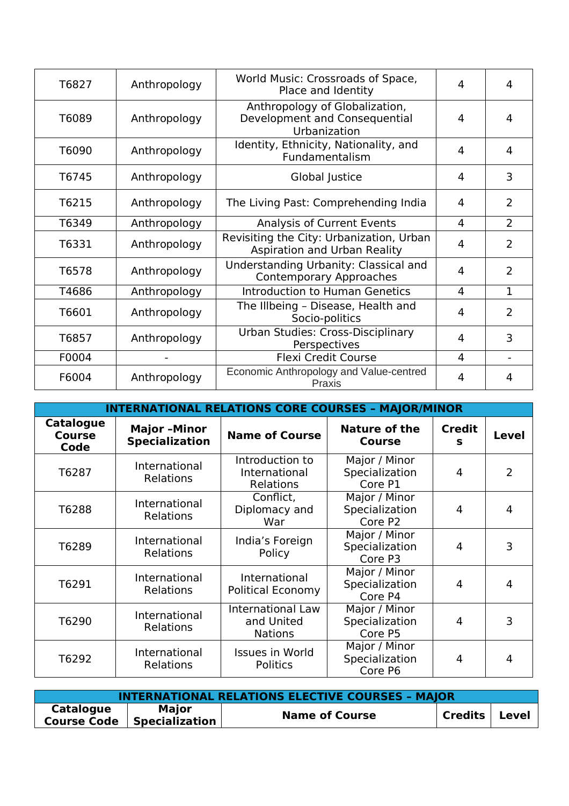| T6827 | Anthropology | World Music: Crossroads of Space,<br>Place and Identity                         | 4              | 4              |
|-------|--------------|---------------------------------------------------------------------------------|----------------|----------------|
| T6089 | Anthropology | Anthropology of Globalization,<br>Development and Consequential<br>Urbanization | 4              | 4              |
| T6090 | Anthropology | Identity, Ethnicity, Nationality, and<br>Fundamentalism                         | 4              | 4              |
| T6745 | Anthropology | Global Justice                                                                  | 4              | 3              |
| T6215 | Anthropology | The Living Past: Comprehending India                                            | 4              | $\overline{2}$ |
| T6349 | Anthropology | Analysis of Current Events                                                      | $\overline{4}$ | $\overline{2}$ |
| T6331 | Anthropology | Revisiting the City: Urbanization, Urban<br>Aspiration and Urban Reality        | 4              | $\overline{2}$ |
| T6578 | Anthropology | Understanding Urbanity: Classical and<br><b>Contemporary Approaches</b>         | 4              | $\overline{2}$ |
| T4686 | Anthropology | <b>Introduction to Human Genetics</b>                                           | 4              | $\mathbf{1}$   |
| T6601 | Anthropology | The Illbeing - Disease, Health and<br>Socio-politics                            | 4              | 2              |
| T6857 | Anthropology | Urban Studies: Cross-Disciplinary<br>Perspectives                               | 4              | 3              |
| F0004 |              | <b>Flexi Credit Course</b>                                                      | 4              |                |
| F6004 | Anthropology | Economic Anthropology and Value-centred<br>Praxis                               | 4              | 4              |

| <b>INTERNATIONAL RELATIONS CORE COURSES - MAJOR/MINOR</b> |                                             |                                                          |                                            |                    |              |  |
|-----------------------------------------------------------|---------------------------------------------|----------------------------------------------------------|--------------------------------------------|--------------------|--------------|--|
| <b>Catalogue</b><br><b>Course</b><br>Code                 | <b>Major-Minor</b><br><b>Specialization</b> | <b>Name of Course</b>                                    | <b>Nature of the</b><br><b>Course</b>      | <b>Credit</b><br>s | <b>Level</b> |  |
| T6287                                                     | International<br>Relations                  | Introduction to<br>International<br>Relations            | Major / Minor<br>Specialization<br>Core P1 | 4                  | 2            |  |
| T6288                                                     | International<br>Relations                  | Conflict,<br>Diplomacy and<br>War                        | Major / Minor<br>Specialization<br>Core P2 | 4                  | 4            |  |
| T6289                                                     | International<br>Relations                  | India's Foreign<br>Policy                                | Major / Minor<br>Specialization<br>Core P3 | 4                  | 3            |  |
| T6291                                                     | International<br>Relations                  | International<br><b>Political Economy</b>                | Major / Minor<br>Specialization<br>Core P4 | 4                  | 4            |  |
| T6290                                                     | International<br>Relations                  | <b>International Law</b><br>and United<br><b>Nations</b> | Major / Minor<br>Specialization<br>Core P5 | 4                  | 3            |  |
| T6292                                                     | International<br>Relations                  | <b>Issues in World</b><br>Politics                       | Major / Minor<br>Specialization<br>Core P6 | 4                  | 4            |  |

| <b>INTERNATIONAL RELATIONS ELECTIVE COURSES - MAJOR</b> |                                                     |                       |                 |  |  |
|---------------------------------------------------------|-----------------------------------------------------|-----------------------|-----------------|--|--|
| <b>Catalogue</b>                                        | <b>Major</b><br><b>Course Code   Specialization</b> | <b>Name of Course</b> | Credits   Level |  |  |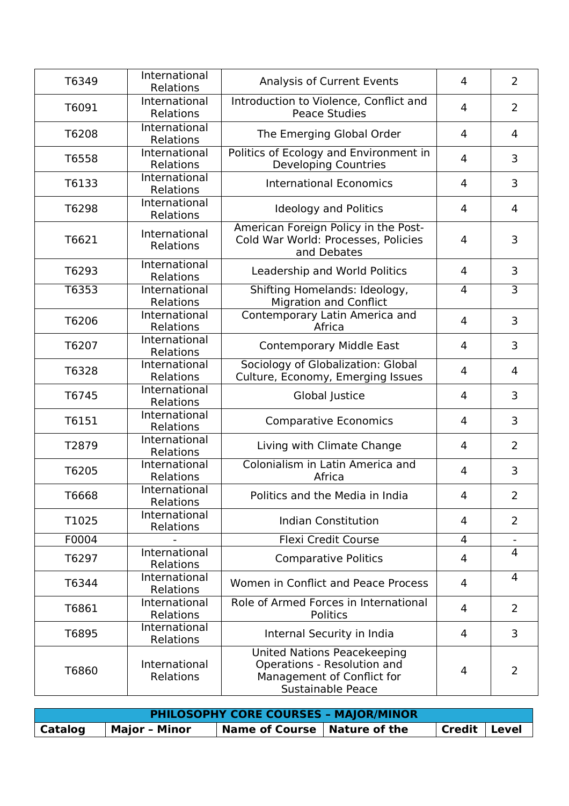| T6349 | International<br>Relations | <b>Analysis of Current Events</b>                                                                                    | 4              | $\overline{2}$ |
|-------|----------------------------|----------------------------------------------------------------------------------------------------------------------|----------------|----------------|
| T6091 | International<br>Relations | Introduction to Violence, Conflict and<br><b>Peace Studies</b>                                                       | 4              | $\overline{2}$ |
| T6208 | International<br>Relations | The Emerging Global Order                                                                                            | 4              | 4              |
| T6558 | International<br>Relations | Politics of Ecology and Environment in<br><b>Developing Countries</b>                                                | 4              | 3              |
| T6133 | International<br>Relations | <b>International Economics</b>                                                                                       | 4              | 3              |
| T6298 | International<br>Relations | <b>Ideology and Politics</b>                                                                                         | 4              | $\overline{4}$ |
| T6621 | International<br>Relations | American Foreign Policy in the Post-<br>Cold War World: Processes, Policies<br>and Debates                           | 4              | 3              |
| T6293 | International<br>Relations | Leadership and World Politics                                                                                        | 4              | 3              |
| T6353 | International<br>Relations | Shifting Homelands: Ideology,<br><b>Migration and Conflict</b>                                                       | 4              | $\overline{3}$ |
| T6206 | International<br>Relations | Contemporary Latin America and<br>Africa                                                                             | $\overline{4}$ | 3              |
| T6207 | International<br>Relations | <b>Contemporary Middle East</b>                                                                                      | 4              | 3              |
| T6328 | International<br>Relations | Sociology of Globalization: Global<br>Culture, Economy, Emerging Issues                                              | 4              | 4              |
| T6745 | International<br>Relations | Global Justice                                                                                                       | 4              | 3              |
| T6151 | International<br>Relations | <b>Comparative Economics</b>                                                                                         | 4              | 3              |
| T2879 | International<br>Relations | Living with Climate Change                                                                                           | 4              | $\overline{2}$ |
| T6205 | International<br>Relations | Colonialism in Latin America and<br>Africa                                                                           | 4              | 3              |
| T6668 | International<br>Relations | Politics and the Media in India                                                                                      | 4              | $\overline{2}$ |
| T1025 | International<br>Relations | <b>Indian Constitution</b>                                                                                           | 4              | $\overline{2}$ |
| F0004 |                            | <b>Flexi Credit Course</b>                                                                                           | 4              |                |
| T6297 | International<br>Relations | <b>Comparative Politics</b>                                                                                          | 4              | $\overline{4}$ |
| T6344 | International<br>Relations | Women in Conflict and Peace Process                                                                                  | 4              | $\overline{4}$ |
| T6861 | International<br>Relations | Role of Armed Forces in International<br>Politics                                                                    | 4              | $\overline{2}$ |
| T6895 | International<br>Relations | Internal Security in India                                                                                           | 4              | 3              |
| T6860 | International<br>Relations | <b>United Nations Peacekeeping</b><br>Operations - Resolution and<br>Management of Conflict for<br>Sustainable Peace | 4              | $\overline{2}$ |

| <b>PHILOSOPHY CORE COURSES - MAJOR/MINOR</b> |                      |                                |  |                |  |
|----------------------------------------------|----------------------|--------------------------------|--|----------------|--|
| Catalog                                      | <b>Major - Minor</b> | Name of Course   Nature of the |  | Credit   Level |  |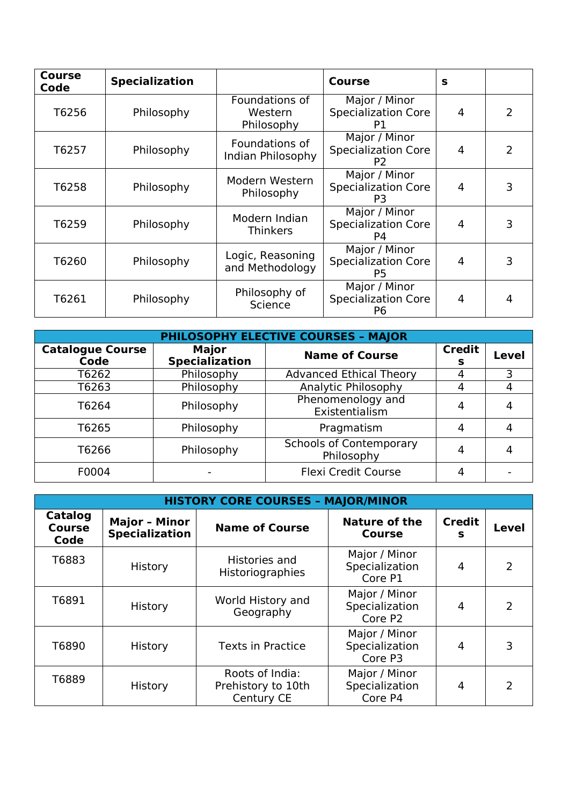| <b>Course</b><br>Code | <b>Specialization</b> |                                         | Course                                                        | S              |   |
|-----------------------|-----------------------|-----------------------------------------|---------------------------------------------------------------|----------------|---|
| T6256                 | Philosophy            | Foundations of<br>Western<br>Philosophy | Major / Minor<br><b>Specialization Core</b><br>P1             | 4              | 2 |
| T6257                 | Philosophy            | Foundations of<br>Indian Philosophy     | Major / Minor<br><b>Specialization Core</b><br>P <sub>2</sub> | 4              | 2 |
| T6258                 | Philosophy            | Modern Western<br>Philosophy            | Major / Minor<br><b>Specialization Core</b><br>P <sub>3</sub> | 4              | 3 |
| T6259                 | Philosophy            | Modern Indian<br><b>Thinkers</b>        | Major / Minor<br><b>Specialization Core</b><br>P4             | 4              |   |
| T6260                 | Philosophy            | Logic, Reasoning<br>and Methodology     | Major / Minor<br><b>Specialization Core</b><br>P <sub>5</sub> | 4              | 3 |
| T6261                 | Philosophy            | Philosophy of<br>Science                | Major / Minor<br><b>Specialization Core</b><br>P6             | $\overline{4}$ |   |

| PHILOSOPHY ELECTIVE COURSES - MAJOR |                                       |                                              |                    |              |  |
|-------------------------------------|---------------------------------------|----------------------------------------------|--------------------|--------------|--|
| <b>Catalogue Course</b><br>Code     | <b>Major</b><br><b>Specialization</b> | <b>Name of Course</b>                        | <b>Credit</b><br>s | <b>Level</b> |  |
| T6262                               | Philosophy                            | <b>Advanced Ethical Theory</b>               |                    | 3            |  |
| T6263                               | Philosophy                            | Analytic Philosophy                          |                    |              |  |
| T6264                               | Philosophy                            | Phenomenology and<br>Existentialism          | 4                  |              |  |
| T6265                               | Philosophy                            | Pragmatism                                   | 4                  |              |  |
| T6266                               | Philosophy                            | <b>Schools of Contemporary</b><br>Philosophy | 4                  |              |  |
| F0004                               |                                       | <b>Flexi Credit Course</b>                   |                    |              |  |

| <b>HISTORY CORE COURSES - MAJOR/MINOR</b> |                                               |                                                     |                                            |                    |              |  |
|-------------------------------------------|-----------------------------------------------|-----------------------------------------------------|--------------------------------------------|--------------------|--------------|--|
| Catalog<br><b>Course</b><br>Code          | <b>Major - Minor</b><br><b>Specialization</b> | <b>Name of Course</b>                               | <b>Nature of the</b><br><b>Course</b>      | <b>Credit</b><br>s | <b>Level</b> |  |
| T6883                                     | History                                       | Histories and<br>Historiographies                   | Major / Minor<br>Specialization<br>Core P1 | 4                  | 2            |  |
| T6891                                     | History                                       | World History and<br>Geography                      | Major / Minor<br>Specialization<br>Core P2 | 4                  | 2            |  |
| T6890                                     | History                                       | <b>Texts in Practice</b>                            | Major / Minor<br>Specialization<br>Core P3 | 4                  | 3            |  |
| T6889                                     | History                                       | Roots of India:<br>Prehistory to 10th<br>Century CE | Major / Minor<br>Specialization<br>Core P4 | 4                  | 2            |  |